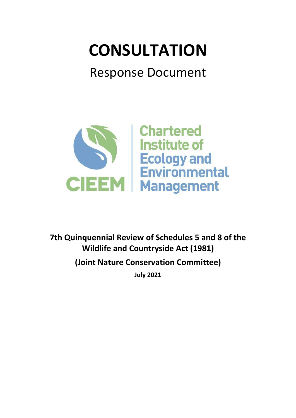# **CONSULTATION**

## Response Document



**7th Quinquennial Review of Schedules 5 and 8 of the Wildlife and Countryside Act (1981)**

**(Joint Nature Conservation Committee)**

**July 2021**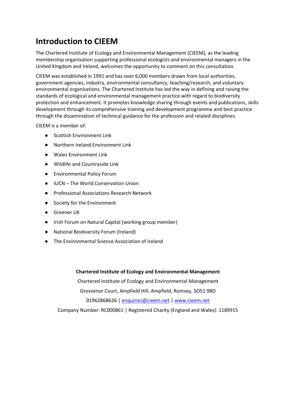### **Introduction to CIEEM**

The Chartered Institute of Ecology and Environmental Management (CIEEM), as the leading membership organisation supporting professional ecologists and environmental managers in the United Kingdom and Ireland, welcomes the opportunity to comment on this consultation.

CIEEM was established in 1991 and has over 6,000 members drawn from local authorities, government agencies, industry, environmental consultancy, teaching/research, and voluntary environmental organisations. The Chartered Institute has led the way in defining and raising the standards of ecological and environmental management practice with regard to biodiversity protection and enhancement. It promotes knowledge sharing through events and publications, skills development through its comprehensive training and development programme and best practice through the dissemination of technical guidance for the profession and related disciplines.

CIEEM is a member of:

- Scottish Environment Link
- Northern Ireland Environment Link
- Wales Environment Link
- Wildlife and Countryside Link
- Environmental Policy Forum
- IUCN The World Conservation Union
- Professional Associations Research Network
- Society for the Environment
- Greener UK
- Irish Forum on Natural Capital (working group member)
- National Biodiversity Forum (Ireland)
- The Environmental Science Association of Ireland

#### **Chartered Institute of Ecology and Environmental Management**

Chartered Institute of Ecology and Environmental Management Grosvenor Court, Ampfield Hill, Ampfield, Romsey, SO51 9BD 01962868626 | [enquiries@cieem.net](mailto:enquiries@cieem.net) | [www.cieem.net](http://www.cieem.net/)

Company Number: RC000861 | Registered Charity (England and Wales): 1189915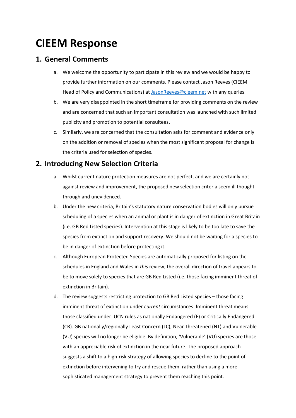### **CIEEM Response**

#### **1. General Comments**

- a. We welcome the opportunity to participate in this review and we would be happy to provide further information on our comments. Please contact Jason Reeves (CIEEM Head of Policy and Communications) at [JasonReeves@cieem.net](mailto:JasonReeves@cieem.net) with any queries.
- b. We are very disappointed in the short timeframe for providing comments on the review and are concerned that such an important consultation was launched with such limited publicity and promotion to potential consultees.
- c. Similarly, we are concerned that the consultation asks for comment and evidence only on the addition or removal of species when the most significant proposal for change is the criteria used for selection of species.

#### **2. Introducing New Selection Criteria**

- a. Whilst current nature protection measures are not perfect, and we are certainly not against review and improvement, the proposed new selection criteria seem ill thoughtthrough and unevidenced.
- b. Under the new criteria, Britain's statutory nature conservation bodies will only pursue scheduling of a species when an animal or plant is in danger of extinction in Great Britain (i.e. GB Red Listed species). Intervention at this stage is likely to be too late to save the species from extinction and support recovery. We should not be waiting for a species to be in danger of extinction before protecting it.
- c. Although European Protected Species are automatically proposed for listing on the schedules in England and Wales in *this* review, the overall direction of travel appears to be to move solely to species that are GB Red Listed (i.e. those facing imminent threat of extinction in Britain).
- d. The review suggests restricting protection to GB Red Listed species those facing imminent threat of extinction under *current* circumstances. Imminent threat means those classified under IUCN rules as nationally Endangered (E) or Critically Endangered (CR). GB nationally/regionally Least Concern (LC), Near Threatened (NT) and Vulnerable (VU) species will no longer be eligible. By definition, 'Vulnerable' (VU) species are those with an appreciable risk of extinction in the near future. The proposed approach suggests a shift to a high-risk strategy of allowing species to decline to the point of extinction before intervening to try and rescue them, rather than using a more sophisticated management strategy to prevent them reaching this point.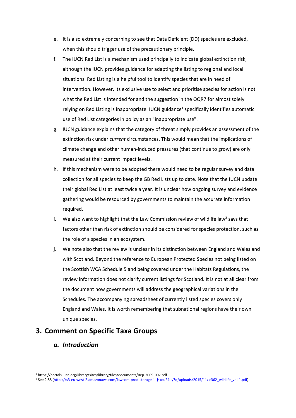- e. It is also extremely concerning to see that Data Deficient (DD) species are excluded, when this should trigger use of the precautionary principle.
- f. The IUCN Red List is a mechanism used principally to indicate global extinction risk, although the IUCN provides guidance for adapting the listing to regional and local situations. Red Listing is a helpful tool to identify species that are in need of intervention. However, its exclusive use to select and prioritise species for action is not what the Red List is intended for and the suggestion in the QQR7 for almost solely relying on Red Listing is inappropriate. IUCN guidance<sup>1</sup> specifically identifies automatic use of Red List categories in policy as an "inappropriate use".
- g. IUCN guidance explains that the category of threat simply provides an assessment of the extinction risk under *current* circumstances. This would mean that the implications of climate change and other human-induced pressures (that continue to grow) are only measured at their current impact levels.
- h. If this mechanism were to be adopted there would need to be regular survey and data collection for all species to keep the GB Red Lists up to date. Note that the IUCN update their global Red List at least twice a year. It is unclear how ongoing survey and evidence gathering would be resourced by governments to maintain the accurate information required.
- i. We also want to highlight that the Law Commission review of wildlife law<sup>2</sup> says that factors other than risk of extinction should be considered for species protection, such as the role of a species in an ecosystem.
- j. We note also that the review is unclear in its distinction between England and Wales and with Scotland. Beyond the reference to European Protected Species not being listed on the Scottish WCA Schedule 5 and being covered under the Habitats Regulations, the review information does not clarify current listings for Scotland. It is not at all clear from the document how governments will address the geographical variations in the Schedules. The accompanying spreadsheet of currently listed species covers only England and Wales. It is worth remembering that subnational regions have their own unique species.

#### **3. Comment on Specific Taxa Groups**

#### *a. Introduction*

<sup>1</sup> https://portals.iucn.org/library/sites/library/files/documents/Rep-2009-007.pdf

<sup>&</sup>lt;sup>2</sup> See 2.88 (https://s3-eu-west-2.amazonaws.com/lawcom-prod-storage-11jsxou24uy7q/uploads/2015/11/lc362\_wildlife\_vol-1.pdf)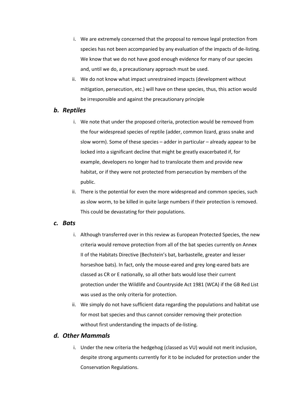- i. We are extremely concerned that the proposal to remove legal protection from species has not been accompanied by any evaluation of the impacts of de-listing. We know that we do not have good enough evidence for many of our species and, until we do, a precautionary approach must be used.
- ii. We do not know what impact unrestrained impacts (development without mitigation, persecution, etc.) will have on these species, thus, this action would be irresponsible and against the precautionary principle

#### *b. Reptiles*

- i. We note that under the proposed criteria, protection would be removed from the four widespread species of reptile (adder, common lizard, grass snake and slow worm). Some of these species – adder in particular – already appear to be locked into a significant decline that might be greatly exacerbated if, for example, developers no longer had to translocate them and provide new habitat, or if they were not protected from persecution by members of the public.
- ii. There is the potential for even the more widespread and common species, such as slow worm, to be killed in quite large numbers if their protection is removed. This could be devastating for their populations.

#### *c. Bats*

- i. Although transferred over in this review as European Protected Species, the new criteria would remove protection from all of the bat species currently on Annex II of the Habitats Directive (Bechstein's bat, barbastelle, greater and lesser horseshoe bats). In fact, only the mouse-eared and grey long-eared bats are classed as CR or E nationally, so all other bats would lose their current protection under the Wildlife and Countryside Act 1981 (WCA) if the GB Red List was used as the only criteria for protection.
- ii. We simply do not have sufficient data regarding the populations and habitat use for most bat species and thus cannot consider removing their protection without first understanding the impacts of de-listing.

#### *d. Other Mammals*

i. Under the new criteria the hedgehog (classed as VU) would not merit inclusion, despite strong arguments currently for it to be included for protection under the Conservation Regulations.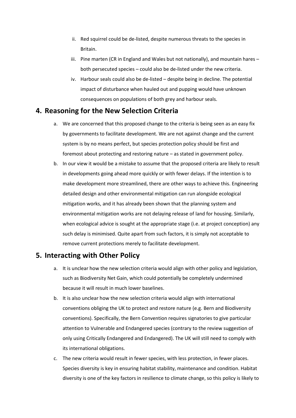- ii. Red squirrel could be de-listed, despite numerous threats to the species in Britain.
- iii. Pine marten (CR in England and Wales but not nationally), and mountain hares both persecuted species – could also be de-listed under the new criteria.
- iv. Harbour seals could also be de-listed despite being in decline. The potential impact of disturbance when hauled out and pupping would have unknown consequences on populations of both grey and harbour seals.

#### **4. Reasoning for the New Selection Criteria**

- a. We are concerned that this proposed change to the criteria is being seen as an easy fix by governments to facilitate development. We are not against change and the current system is by no means perfect, but species protection policy should be first and foremost about protecting and restoring nature – as stated in government policy.
- b. In our view it would be a mistake to assume that the proposed criteria are likely to result in developments going ahead more quickly or with fewer delays. If the intention is to make development more streamlined, there are other ways to achieve this. Engineering detailed design and other environmental mitigation can run alongside ecological mitigation works, and it has already been shown that the planning system and environmental mitigation works are not delaying release of land for housing. Similarly, when ecological advice is sought at the appropriate stage (i.e. at project conception) any such delay is minimised. Quite apart from such factors, it is simply not acceptable to remove current protections merely to facilitate development.

#### **5. Interacting with Other Policy**

- a. It is unclear how the new selection criteria would align with other policy and legislation, such as Biodiversity Net Gain, which could potentially be completely undermined because it will result in much lower baselines.
- b. It is also unclear how the new selection criteria would align with international conventions obliging the UK to protect and restore nature (e.g. Bern and Biodiversity conventions). Specifically, the Bern Convention requires signatories to give particular attention to Vulnerable and Endangered species (contrary to the review suggestion of only using Critically Endangered and Endangered). The UK will still need to comply with its international obligations.
- c. The new criteria would result in fewer species, with less protection, in fewer places. Species diversity is key in ensuring habitat stability, maintenance and condition. Habitat diversity is one of the key factors in resilience to climate change, so this policy is likely to